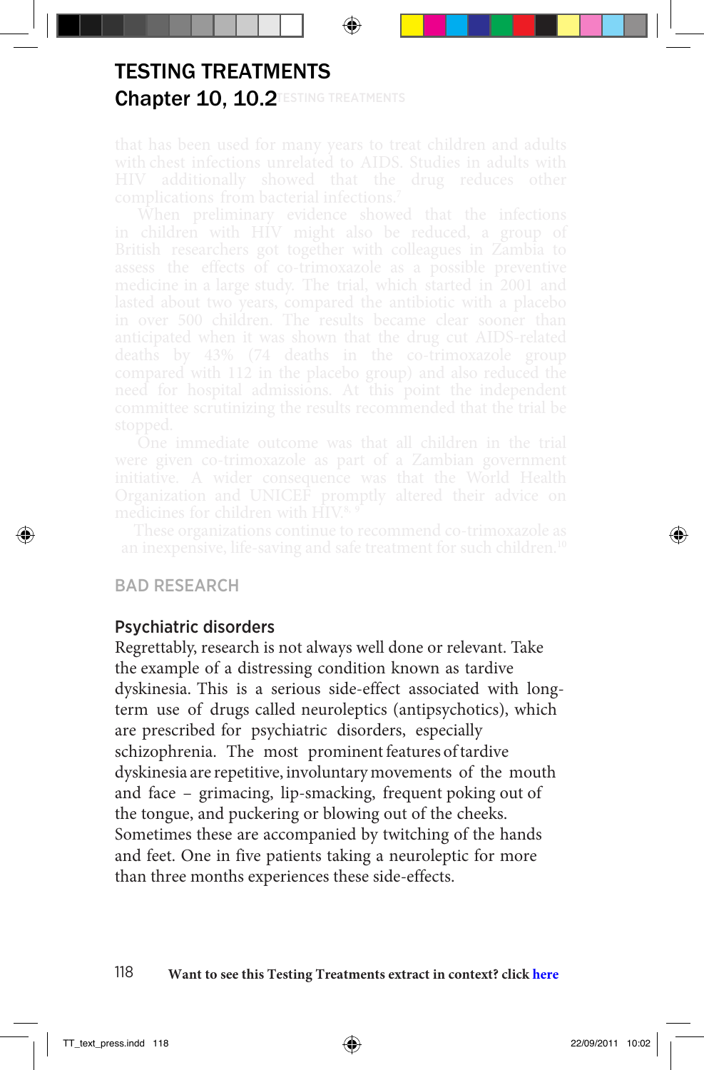## Chapter 10, 10.2 **TESTING TREATMENTS** TESTING TREATMENTS

## BAD RESEARCH

## Psychiatric disorders

Regrettably, research is not always well done or relevant. Take the example of a distressing condition known as tardive dyskinesia. This is a serious side-effect associated with longterm use of drugs called neuroleptics (antipsychotics), which are prescribed for psychiatric disorders, especially schizophrenia. The most prominent features of tardive dyskinesia are repetitive, involuntary movements of the mouth and face – grimacing, lip-smacking, frequent poking out of the tongue, and puckering or blowing out of the cheeks. Sometimes these are accompanied by twitching of the hands and feet. One in five patients taking a neuroleptic for more than three months experiences these side-effects.